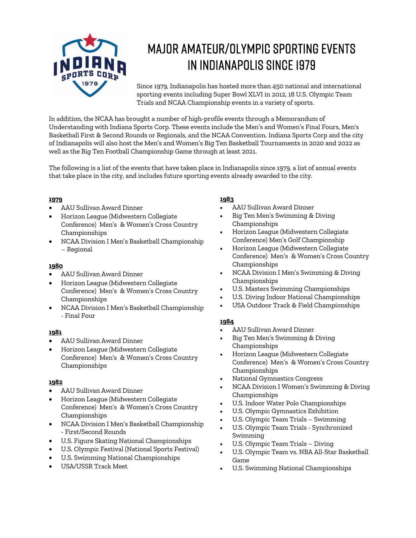

# Major Amateur/Olympic Sporting Events in Indianapolis since 1979

Since 1979, Indianapolis has hosted more than 450 national and international sporting events including Super Bowl XLVI in 2012, 18 U.S. Olympic Team Trials and NCAA Championship events in a variety of sports.

In addition, the NCAA has brought a number of high-profile events through a Memorandum of Understanding with Indiana Sports Corp. These events include the Men's and Women's Final Fours, Men's Basketball First & Second Rounds or Regionals, and the NCAA Convention. Indiana Sports Corp and the city of Indianapolis will also host the Men's and Women's Big Ten Basketball Tournaments in 2020 and 2022 as well as the Big Ten Football Championship Game through at least 2021.

The following is a list of the events that have taken place in Indianapolis since 1979, a list of annual events that take place in the city, and includes future sporting events already awarded to the city.

# **1979**

- AAU Sullivan Award Dinner
- Horizon League (Midwestern Collegiate Conference) Men's & Women's Cross Country Championships
- NCAA Division I Men's Basketball Championship – Regional

# **1980**

- AAU Sullivan Award Dinner
- Horizon League (Midwestern Collegiate Conference) Men's & Women's Cross Country Championships
- NCAA Division I Men's Basketball Championship - Final Four

# **1981**

- AAU Sullivan Award Dinner
- Horizon League (Midwestern Collegiate Conference) Men's & Women's Cross Country Championships

# **1982**

- AAU Sullivan Award Dinner
- Horizon League (Midwestern Collegiate Conference) Men's & Women's Cross Country Championships
- NCAA Division I Men's Basketball Championship - First/Second Rounds
- U.S. Figure Skating National Championships
- U.S. Olympic Festival (National Sports Festival)
- U.S. Swimming National Championships
- USA/USSR Track Meet

# **1983**

- AAU Sullivan Award Dinner
- Big Ten Men's Swimming & Diving Championships
- Horizon League (Midwestern Collegiate Conference) Men's Golf Championship
- Horizon League (Midwestern Collegiate Conference) Men's & Women's Cross Country Championships
- NCAA Division I Men's Swimming & Diving Championships
- U.S. Masters Swimming Championships
- U.S. Diving Indoor National Championships
- USA Outdoor Track & Field Championships

- AAU Sullivan Award Dinner
- Big Ten Men's Swimming & Diving Championships
- Horizon League (Midwestern Collegiate Conference) Men's & Women's Cross Country Championships
- National Gymnastics Congress
- NCAA Division I Women's Swimming & Diving Championships
- U.S. Indoor Water Polo Championships
- U.S. Olympic Gymnastics Exhibition
- U.S. Olympic Team Trials Swimming
- U.S. Olympic Team Trials Synchronized Swimming
- U.S. Olympic Team Trials Diving
- U.S. Olympic Team vs. NBA All-Star Basketball Game
- U.S. Swimming National Championships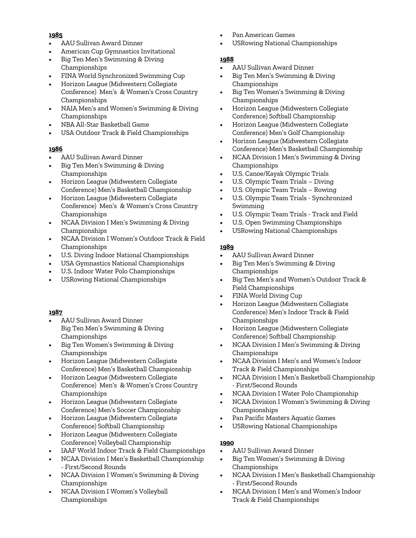- AAU Sullivan Award Dinner
- American Cup Gymnastics Invitational
- Big Ten Men's Swimming & Diving Championships
- FINA World Synchronized Swimming Cup
- Horizon League (Midwestern Collegiate Conference) Men's & Women's Cross Country Championships
- NAIA Men's and Women's Swimming & Diving Championships
- NBA All-Star Basketball Game
- USA Outdoor Track & Field Championships

# **1986**

- AAU Sullivan Award Dinner
- Big Ten Men's Swimming & Diving Championships
- Horizon League (Midwestern Collegiate Conference) Men's Basketball Championship
- Horizon League (Midwestern Collegiate Conference) Men's & Women's Cross Country Championships
- NCAA Division I Men's Swimming & Diving Championships
- NCAA Division I Women's Outdoor Track & Field Championships
- U.S. Diving Indoor National Championships
- USA Gymnastics National Championships
- U.S. Indoor Water Polo Championships
- USRowing National Championships

# **1987**

- AAU Sullivan Award Dinner Big Ten Men's Swimming & Diving Championships
- Big Ten Women's Swimming & Diving Championships
- Horizon League (Midwestern Collegiate Conference) Men's Basketball Championship
- Horizon League (Midwestern Collegiate Conference) Men's & Women's Cross Country Championships
- Horizon League (Midwestern Collegiate Conference) Men's Soccer Championship
- Horizon League (Midwestern Collegiate Conference) Softball Championship
- Horizon League (Midwestern Collegiate Conference) Volleyball Championship
- IAAF World Indoor Track & Field Championships
- NCAA Division I Men's Basketball Championship - First/Second Rounds
- NCAA Division I Women's Swimming & Diving Championships
- NCAA Division I Women's Volleyball Championships
- Pan American Games
- USRowing National Championships

# **1988**

- AAU Sullivan Award Dinner
- Big Ten Men's Swimming & Diving Championships
- Big Ten Women's Swimming & Diving Championships
- Horizon League (Midwestern Collegiate Conference) Softball Championship
- Horizon League (Midwestern Collegiate Conference) Men's Golf Championship
- Horizon League (Midwestern Collegiate Conference) Men's Basketball Championship
- NCAA Division I Men's Swimming & Diving Championships
- U.S. Canoe/Kayak Olympic Trials
- U.S. Olympic Team Trials Diving
- U.S. Olympic Team Trials Rowing
- U.S. Olympic Team Trials Synchronized Swimming
- U.S. Olympic Team Trials Track and Field
- U.S. Open Swimming Championships
- USRowing National Championships

# **1989**

- AAU Sullivan Award Dinner
- Big Ten Men's Swimming & Diving Championships
- Big Ten Men's and Women's Outdoor Track & Field Championships
- FINA World Diving Cup
- Horizon League (Midwestern Collegiate Conference) Men's Indoor Track & Field Championships
- Horizon League (Midwestern Collegiate Conference) Softball Championship
- NCAA Division I Men's Swimming & Diving Championships
- NCAA Division I Men's and Women's Indoor Track & Field Championships
- NCAA Division I Men's Basketball Championship - First/Second Rounds
- NCAA Division I Water Polo Championship
- NCAA Division I Women's Swimming & Diving Championships
- Pan Pacific Masters Aquatic Games
- USRowing National Championships

- AAU Sullivan Award Dinner
- Big Ten Women's Swimming & Diving Championships
- NCAA Division I Men's Basketball Championship - First/Second Rounds
- NCAA Division I Men's and Women's Indoor Track & Field Championships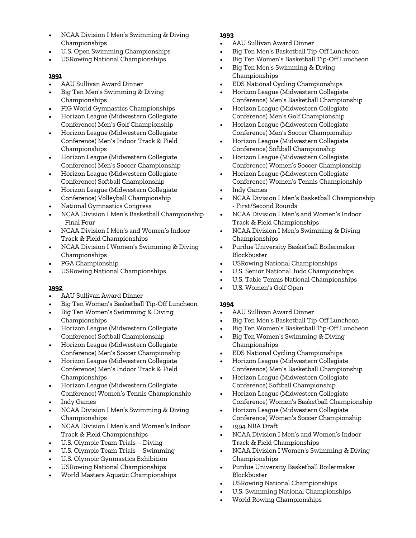- NCAA Division I Men's Swimming & Diving Championships
- U.S. Open Swimming Championships
- USRowing National Championships

- AAU Sullivan Award Dinner
- Big Ten Men's Swimming & Diving Championships
- FIG World Gymnastics Championships
- Horizon League (Midwestern Collegiate Conference) Men's Golf Championship
- Horizon League (Midwestern Collegiate Conference) Men's Indoor Track & Field Championships
- Horizon League (Midwestern Collegiate Conference) Men's Soccer Championship
- Horizon League (Midwestern Collegiate Conference) Softball Championship
- Horizon League (Midwestern Collegiate Conference) Volleyball Championship
- National Gymnastics Congress
- NCAA Division I Men's Basketball Championship - Final Four
- NCAA Division I Men's and Women's Indoor Track & Field Championships
- NCAA Division I Women's Swimming & Diving Championships
- PGA Championship
- USRowing National Championships

#### **1992**

- AAU Sullivan Award Dinner
- Big Ten Women's Basketball Tip-Off Luncheon
- Big Ten Women's Swimming & Diving Championships
- Horizon League (Midwestern Collegiate Conference) Softball Championship
- Horizon League (Midwestern Collegiate Conference) Men's Soccer Championship
- Horizon League (Midwestern Collegiate Conference) Men's Indoor Track & Field Championships
- Horizon League (Midwestern Collegiate Conference) Women's Tennis Championship
- Indy Games
- NCAA Division I Men's Swimming & Diving Championships
- NCAA Division I Men's and Women's Indoor Track & Field Championships
- U.S. Olympic Team Trials Diving
- U.S. Olympic Team Trials Swimming
- U.S. Olympic Gymnastics Exhibition
- USRowing National Championships
- World Masters Aquatic Championships

#### **1993**

- AAU Sullivan Award Dinner
- Big Ten Men's Basketball Tip-Off Luncheon
- Big Ten Women's Basketball Tip-Off Luncheon
- Big Ten Men's Swimming & Diving Championships
- EDS National Cycling Championships
- Horizon League (Midwestern Collegiate Conference) Men's Basketball Championship
- Horizon League (Midwestern Collegiate Conference) Men's Golf Championship
- Horizon League (Midwestern Collegiate Conference) Men's Soccer Championship
- Horizon League (Midwestern Collegiate Conference) Softball Championship
- Horizon League (Midwestern Collegiate Conference) Women's Soccer Championship
- Horizon League (Midwestern Collegiate Conference) Women's Tennis Championship
- Indy Games
- NCAA Division I Men's Basketball Championship - First/Second Rounds
- NCAA Division I Men's and Women's Indoor Track & Field Championships
- NCAA Division I Men's Swimming & Diving Championships
- Purdue University Basketball Boilermaker Blockbuster
- USRowing National Championships
- U.S. Senior National Judo Championships
- U.S. Table Tennis National Championships
- U.S. Women's Golf Open

- AAU Sullivan Award Dinner
- Big Ten Men's Basketball Tip-Off Luncheon
- Big Ten Women's Basketball Tip-Off Luncheon
- Big Ten Women's Swimming & Diving Championships
- EDS National Cycling Championships
- Horizon League (Midwestern Collegiate Conference) Men's Basketball Championship
- Horizon League (Midwestern Collegiate Conference) Softball Championship
- Horizon League (Midwestern Collegiate Conference) Women's Basketball Championship
- Horizon League (Midwestern Collegiate Conference) Women's Soccer Championship
- 1994 NBA Draft
- NCAA Division I Men's and Women's Indoor Track & Field Championships
- NCAA Division I Women's Swimming & Diving Championships
- Purdue University Basketball Boilermaker Blockbuster
- USRowing National Championships
- U.S. Swimming National Championships
- World Rowing Championships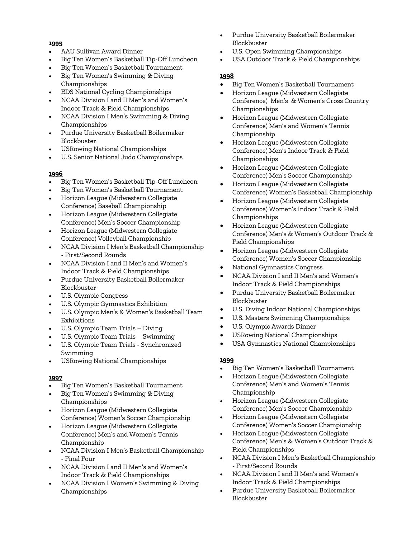- AAU Sullivan Award Dinner
- Big Ten Women's Basketball Tip-Off Luncheon
- Big Ten Women's Basketball Tournament
- Big Ten Women's Swimming & Diving Championships
- EDS National Cycling Championships
- NCAA Division I and II Men's and Women's Indoor Track & Field Championships
- NCAA Division I Men's Swimming & Diving Championships
- Purdue University Basketball Boilermaker Blockbuster
- USRowing National Championships
- U.S. Senior National Judo Championships

#### **1996**

- Big Ten Women's Basketball Tip-Off Luncheon
- Big Ten Women's Basketball Tournament
- Horizon League (Midwestern Collegiate Conference) Baseball Championship
- Horizon League (Midwestern Collegiate Conference) Men's Soccer Championship
- Horizon League (Midwestern Collegiate Conference) Volleyball Championship
- NCAA Division I Men's Basketball Championship - First/Second Rounds
- NCAA Division I and II Men's and Women's Indoor Track & Field Championships
- Purdue University Basketball Boilermaker Blockbuster
- U.S. Olympic Congress
- U.S. Olympic Gymnastics Exhibition
- U.S. Olympic Men's & Women's Basketball Team Exhibitions
- U.S. Olympic Team Trials Diving
- U.S. Olympic Team Trials Swimming
- U.S. Olympic Team Trials Synchronized Swimming
- USRowing National Championships

#### **1997**

- Big Ten Women's Basketball Tournament
- Big Ten Women's Swimming & Diving Championships
- Horizon League (Midwestern Collegiate Conference) Women's Soccer Championship
- Horizon League (Midwestern Collegiate Conference) Men's and Women's Tennis Championship
- NCAA Division I Men's Basketball Championship - Final Four
- NCAA Division I and II Men's and Women's Indoor Track & Field Championships
- NCAA Division I Women's Swimming & Diving Championships
- Purdue University Basketball Boilermaker Blockbuster
- U.S. Open Swimming Championships
- USA Outdoor Track & Field Championships

#### **1998**

- Big Ten Women's Basketball Tournament
- Horizon League (Midwestern Collegiate Conference) Men's & Women's Cross Country Championships
- Horizon League (Midwestern Collegiate Conference) Men's and Women's Tennis Championship
- Horizon League (Midwestern Collegiate Conference) Men's Indoor Track & Field Championships
- Horizon League (Midwestern Collegiate Conference) Men's Soccer Championship
- Horizon League (Midwestern Collegiate Conference) Women's Basketball Championship
- Horizon League (Midwestern Collegiate Conference) Women's Indoor Track & Field Championships
- Horizon League (Midwestern Collegiate Conference) Men's & Women's Outdoor Track & Field Championships
- Horizon League (Midwestern Collegiate Conference) Women's Soccer Championship
- National Gymnastics Congress
- NCAA Division I and II Men's and Women's Indoor Track & Field Championships
- Purdue University Basketball Boilermaker Blockbuster
- U.S. Diving Indoor National Championships
- U.S. Masters Swimming Championships
- U.S. Olympic Awards Dinner
- USRowing National Championships
- USA Gymnastics National Championships

- Big Ten Women's Basketball Tournament
- Horizon League (Midwestern Collegiate Conference) Men's and Women's Tennis Championship
- Horizon League (Midwestern Collegiate Conference) Men's Soccer Championship
- Horizon League (Midwestern Collegiate Conference) Women's Soccer Championship
- Horizon League (Midwestern Collegiate Conference) Men's & Women's Outdoor Track & Field Championships
- NCAA Division I Men's Basketball Championship - First/Second Rounds
- NCAA Division I and II Men's and Women's Indoor Track & Field Championships
- Purdue University Basketball Boilermaker Blockbuster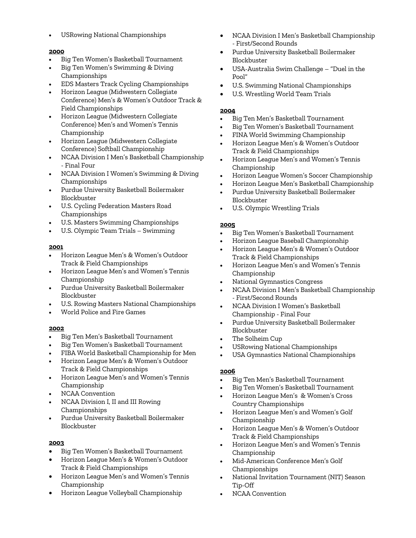• USRowing National Championships

#### **2000**

- Big Ten Women's Basketball Tournament
- Big Ten Women's Swimming & Diving Championships
- EDS Masters Track Cycling Championships
- Horizon League (Midwestern Collegiate Conference) Men's & Women's Outdoor Track & Field Championships
- Horizon League (Midwestern Collegiate Conference) Men's and Women's Tennis Championship
- Horizon League (Midwestern Collegiate Conference) Softball Championship
- NCAA Division I Men's Basketball Championship - Final Four
- NCAA Division I Women's Swimming & Diving Championships
- Purdue University Basketball Boilermaker Blockbuster
- U.S. Cycling Federation Masters Road Championships
- U.S. Masters Swimming Championships
- U.S. Olympic Team Trials Swimming

#### **2001**

- Horizon League Men's & Women's Outdoor Track & Field Championships
- Horizon League Men's and Women's Tennis Championship
- Purdue University Basketball Boilermaker Blockbuster
- U.S. Rowing Masters National Championships
- World Police and Fire Games

#### **2002**

- Big Ten Men's Basketball Tournament
- Big Ten Women's Basketball Tournament
- FIBA World Basketball Championship for Men
- Horizon League Men's & Women's Outdoor Track & Field Championships
- Horizon League Men's and Women's Tennis Championship
- NCAA Convention
- NCAA Division I, II and III Rowing Championships
- Purdue University Basketball Boilermaker Blockbuster

# **2003**

- Big Ten Women's Basketball Tournament
- Horizon League Men's & Women's Outdoor Track & Field Championships
- Horizon League Men's and Women's Tennis Championship
- Horizon League Volleyball Championship
- NCAA Division I Men's Basketball Championship - First/Second Rounds
- Purdue University Basketball Boilermaker Blockbuster
- USA-Australia Swim Challenge "Duel in the Pool"
- U.S. Swimming National Championships
- U.S. Wrestling World Team Trials

## **2004**

- Big Ten Men's Basketball Tournament
- Big Ten Women's Basketball Tournament
- FINA World Swimming Championship
- Horizon League Men's & Women's Outdoor Track & Field Championships
- Horizon League Men's and Women's Tennis Championship
- Horizon League Women's Soccer Championship
- Horizon League Men's Basketball Championship
- Purdue University Basketball Boilermaker Blockbuster
- U.S. Olympic Wrestling Trials

#### **2005**

- Big Ten Women's Basketball Tournament
- Horizon League Baseball Championship
- Horizon League Men's & Women's Outdoor Track & Field Championships
- Horizon League Men's and Women's Tennis Championship
- National Gymnastics Congress
- NCAA Division I Men's Basketball Championship - First/Second Rounds
- NCAA Division I Women's Basketball Championship - Final Four
- Purdue University Basketball Boilermaker Blockbuster
- The Solheim Cup
- USRowing National Championships
- USA Gymnastics National Championships

- Big Ten Men's Basketball Tournament
- Big Ten Women's Basketball Tournament
- Horizon League Men's & Women's Cross Country Championships
- Horizon League Men's and Women's Golf Championship
- Horizon League Men's & Women's Outdoor Track & Field Championships
- Horizon League Men's and Women's Tennis Championship
- Mid-American Conference Men's Golf Championships
- National Invitation Tournament (NIT) Season Tip-Off
- NCAA Convention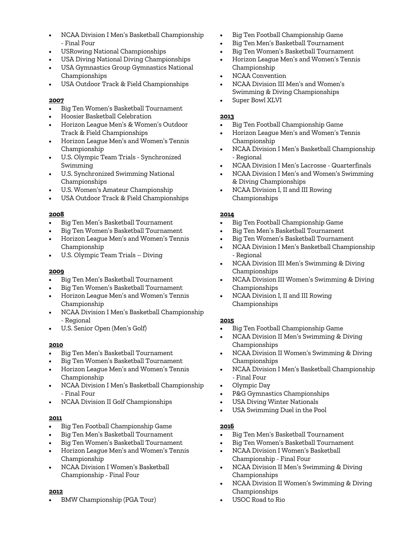- NCAA Division I Men's Basketball Championship - Final Four
- USRowing National Championships
- USA Diving National Diving Championships
- USA Gymnastics Group Gymnastics National Championships
- USA Outdoor Track & Field Championships

- Big Ten Women's Basketball Tournament
- Hoosier Basketball Celebration
- Horizon League Men's & Women's Outdoor Track & Field Championships
- Horizon League Men's and Women's Tennis Championship
- U.S. Olympic Team Trials Synchronized Swimming
- U.S. Synchronized Swimming National Championships
- U.S. Women's Amateur Championship
- USA Outdoor Track & Field Championships

#### **2008**

- Big Ten Men's Basketball Tournament
- Big Ten Women's Basketball Tournament
- Horizon League Men's and Women's Tennis Championship
- U.S. Olympic Team Trials Diving

#### **2009**

- Big Ten Men's Basketball Tournament
- Big Ten Women's Basketball Tournament
- Horizon League Men's and Women's Tennis Championship
- NCAA Division I Men's Basketball Championship - Regional
- U.S. Senior Open (Men's Golf)

# **2010**

- Big Ten Men's Basketball Tournament
- Big Ten Women's Basketball Tournament
- Horizon League Men's and Women's Tennis Championship
- NCAA Division I Men's Basketball Championship - Final Four
- NCAA Division II Golf Championships

#### **2011**

- Big Ten Football Championship Game
- Big Ten Men's Basketball Tournament
- Big Ten Women's Basketball Tournament
- Horizon League Men's and Women's Tennis Championship
- NCAA Division I Women's Basketball Championship - Final Four

# **2012**

• BMW Championship (PGA Tour)

- Big Ten Football Championship Game
- Big Ten Men's Basketball Tournament
- Big Ten Women's Basketball Tournament
- Horizon League Men's and Women's Tennis Championship
- NCAA Convention
- NCAA Division III Men's and Women's Swimming & Diving Championships
- Super Bowl XLVI

## **2013**

- Big Ten Football Championship Game
- Horizon League Men's and Women's Tennis Championship
- NCAA Division I Men's Basketball Championship - Regional
- NCAA Division I Men's Lacrosse Quarterfinals
- NCAA Division I Men's and Women's Swimming & Diving Championships
- NCAA Division I, II and III Rowing Championships

#### **2014**

- Big Ten Football Championship Game
- Big Ten Men's Basketball Tournament
- Big Ten Women's Basketball Tournament
- NCAA Division I Men's Basketball Championship - Regional
- NCAA Division III Men's Swimming & Diving Championships
- NCAA Division III Women's Swimming & Diving Championships
- NCAA Division I, II and III Rowing Championships

# **2015**

- Big Ten Football Championship Game
- NCAA Division II Men's Swimming & Diving Championships
- NCAA Division II Women's Swimming & Diving Championships
- NCAA Division I Men's Basketball Championship - Final Four
- Olympic Day
- P&G Gymnastics Championships
- USA Diving Winter Nationals
- USA Swimming Duel in the Pool

- Big Ten Men's Basketball Tournament
- Big Ten Women's Basketball Tournament
- NCAA Division I Women's Basketball Championship - Final Four
- NCAA Division II Men's Swimming & Diving Championships
- NCAA Division II Women's Swimming & Diving Championships
- USOC Road to Rio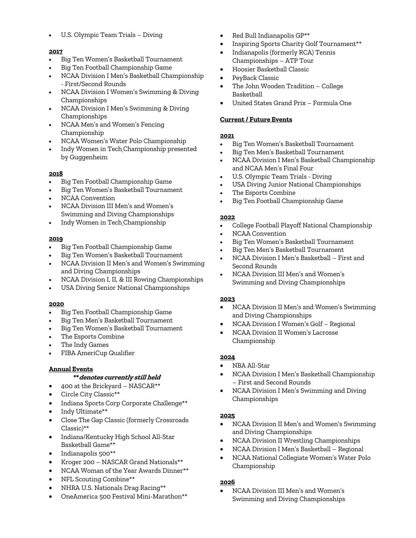• U.S. Olympic Team Trials – Diving

#### **2017**

- Big Ten Women's Basketball Tournament
- Big Ten Football Championship Game
- NCAA Division I Men's Basketball Championship - First/Second Rounds
- NCAA Division I Women's Swimming & Diving Championships
- NCAA Division I Men's Swimming & Diving Championships
- NCAA Men's and Women's Fencing Championship
- NCAA Women's Water Polo Championship
- Indy Women in Tech Championship presented by Guggenheim

# **2018**

- Big Ten Football Championship Game
- Big Ten Women's Basketball Tournament
- NCAA Convention
- NCAA Division III Men's and Women's Swimming and Diving Championships
- Indy Women in Tech Championship

#### **2019**

- Big Ten Football Championship Game
- Big Ten Women's Basketball Tournament
- NCAA Division II Men's and Women's Swimming and Diving Championships
- NCAA Division I, II, & III Rowing Championships
- USA Diving Senior National Championships

#### **2020**

- Big Ten Football Championship Game
- Big Ten Men's Basketball Tournament
- Big Ten Women's Basketball Tournament
- The Esports Combine
- The Indy Games
- FIBA AmeriCup Qualifier

# **Annual Events**

#### **\*\*denotes currently still held**

- 400 at the Brickyard NASCAR\*\*
- Circle City Classic\*\*
- Indiana Sports Corp Corporate Challenge\*\*
- Indy Ultimate\*\*
- Close The Gap Classic (formerly Crossroads Classic)\*\*
- Indiana/Kentucky High School All-Star Basketball Game\*\*
- Indianapolis 500\*\*
- Kroger 200 NASCAR Grand Nationals\*\*
- NCAA Woman of the Year Awards Dinner\*\*
- NFL Scouting Combine\*\*
- NHRA U.S. Nationals Drag Racing\*\*
- OneAmerica 500 Festival Mini-Marathon\*\*
- Red Bull Indianapolis GP\*\*
- Inspiring Sports Charity Golf Tournament\*\*
- Indianapolis (formerly RCA) Tennis Championships – ATP Tour
- Hoosier Basketball Classic
- PeyBack Classic
- The John Wooden Tradition College Basketball
- United States Grand Prix Formula One

#### **Current / Future Events**

#### **2021**

- Big Ten Women's Basketball Tournament
- Big Ten Men's Basketball Tournament
- NCAA Division I Men's Basketball Championship and NCAA Men's Final Four
- U.S. Olympic Team Trials Diving
- USA Diving Junior National Championships
- The Esports Combine
- Big Ten Football Championship Game

#### **2022**

- College Football Playoff National Championship
- NCAA Convention
- Big Ten Women's Basketball Tournament
- Big Ten Men's Basketball Tournament
- NCAA Division I Men's Basketball First and Second Rounds
- NCAA Division III Men's and Women's Swimming and Diving Championships

#### **2023**

- NCAA Division II Men's and Women's Swimming and Diving Championships
- NCAA Division I Women's Golf Regional
- NCAA Division II Women's Lacrosse Championship

#### **2024**

- NBA All-Star
- NCAA Division I Men's Basketball Championship – First and Second Rounds
- NCAA Division I Men's Swimming and Diving Championships

#### **2025**

- NCAA Division II Men's and Women's Swimming and Diving Championships
- NCAA Division II Wrestling Championships
- NCAA Division I Men's Basketball Regional
- NCAA National Collegiate Women's Water Polo Championship

#### **2026**

• NCAA Division III Men's and Women's Swimming and Diving Championships